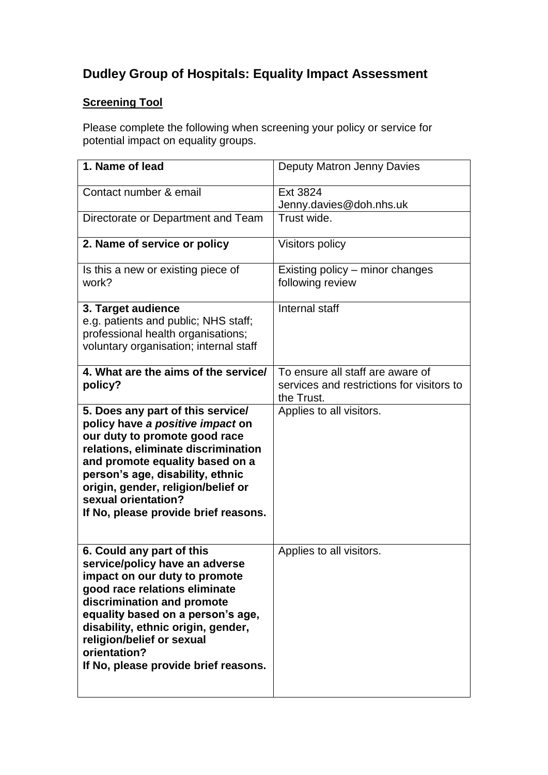# **Dudley Group of Hospitals: Equality Impact Assessment**

# **Screening Tool**

Please complete the following when screening your policy or service for potential impact on equality groups.

| 1. Name of lead                                                                                                                                                                                                                                                                                                             | Deputy Matron Jenny Davies                                                                  |
|-----------------------------------------------------------------------------------------------------------------------------------------------------------------------------------------------------------------------------------------------------------------------------------------------------------------------------|---------------------------------------------------------------------------------------------|
| Contact number & email                                                                                                                                                                                                                                                                                                      | Ext 3824<br>Jenny.davies@doh.nhs.uk                                                         |
| Directorate or Department and Team                                                                                                                                                                                                                                                                                          | Trust wide.                                                                                 |
| 2. Name of service or policy                                                                                                                                                                                                                                                                                                | Visitors policy                                                                             |
| Is this a new or existing piece of<br>work?                                                                                                                                                                                                                                                                                 | Existing policy – minor changes<br>following review                                         |
| 3. Target audience<br>e.g. patients and public; NHS staff;<br>professional health organisations;<br>voluntary organisation; internal staff                                                                                                                                                                                  | Internal staff                                                                              |
| 4. What are the aims of the service/<br>policy?                                                                                                                                                                                                                                                                             | To ensure all staff are aware of<br>services and restrictions for visitors to<br>the Trust. |
| 5. Does any part of this service/<br>policy have a positive impact on<br>our duty to promote good race<br>relations, eliminate discrimination<br>and promote equality based on a<br>person's age, disability, ethnic<br>origin, gender, religion/belief or<br>sexual orientation?<br>If No, please provide brief reasons.   | Applies to all visitors.                                                                    |
| 6. Could any part of this<br>service/policy have an adverse<br>impact on our duty to promote<br>good race relations eliminate<br>discrimination and promote<br>equality based on a person's age,<br>disability, ethnic origin, gender,<br>religion/belief or sexual<br>orientation?<br>If No, please provide brief reasons. | Applies to all visitors.                                                                    |